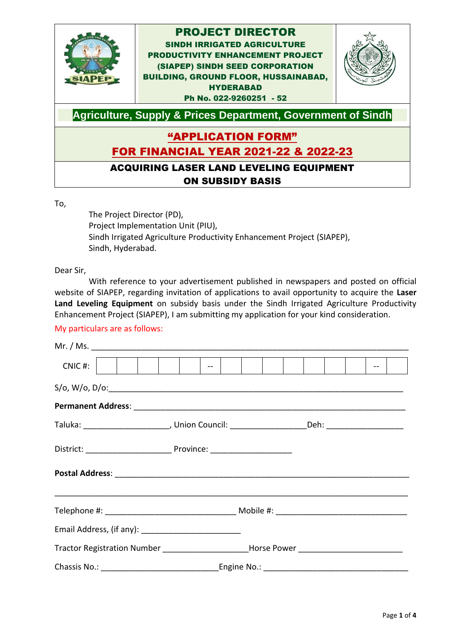

#### To,

The Project Director (PD), Project Implementation Unit (PIU), Sindh Irrigated Agriculture Productivity Enhancement Project (SIAPEP), Sindh, Hyderabad.

Dear Sir,

With reference to your advertisement published in newspapers and posted on official website of SIAPEP, regarding invitation of applications to avail opportunity to acquire the **Laser Land Leveling Equipment** on subsidy basis under the Sindh Irrigated Agriculture Productivity Enhancement Project (SIAPEP), I am submitting my application for your kind consideration.

#### My particulars are as follows:

|                                                                                                     |  | $\begin{bmatrix} 1 & 1 & 1 \\ 1 & 1 & 1 \end{bmatrix} \begin{bmatrix} 1 & 1 & 1 \\ 1 & 1 & 1 \end{bmatrix}$ |
|-----------------------------------------------------------------------------------------------------|--|-------------------------------------------------------------------------------------------------------------|
|                                                                                                     |  |                                                                                                             |
|                                                                                                     |  |                                                                                                             |
| Taluka: __________________________, Union Council: ______________________Deh: _____________________ |  |                                                                                                             |
|                                                                                                     |  |                                                                                                             |
|                                                                                                     |  |                                                                                                             |
|                                                                                                     |  |                                                                                                             |
|                                                                                                     |  |                                                                                                             |
| Tractor Registration Number ______________________Horse Power __________________                    |  |                                                                                                             |
|                                                                                                     |  |                                                                                                             |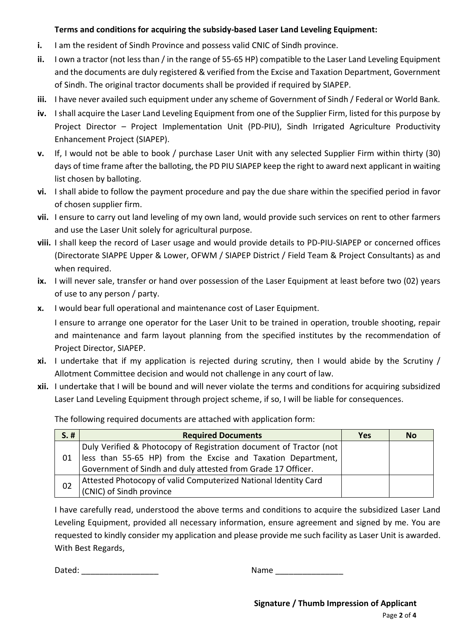### **Terms and conditions for acquiring the subsidy-based Laser Land Leveling Equipment:**

- **i.** I am the resident of Sindh Province and possess valid CNIC of Sindh province.
- **ii.** I own a tractor (not less than / in the range of 55-65 HP) compatible to the Laser Land Leveling Equipment and the documents are duly registered & verified from the Excise and Taxation Department, Government of Sindh. The original tractor documents shall be provided if required by SIAPEP.
- **iii.** I have never availed such equipment under any scheme of Government of Sindh / Federal or World Bank.
- **iv.** I shall acquire the Laser Land Leveling Equipment from one of the Supplier Firm, listed for this purpose by Project Director – Project Implementation Unit (PD-PIU), Sindh Irrigated Agriculture Productivity Enhancement Project (SIAPEP).
- **v.** If, I would not be able to book / purchase Laser Unit with any selected Supplier Firm within thirty (30) days of time frame after the balloting, the PD PIU SIAPEP keep the right to award next applicant in waiting list chosen by balloting.
- **vi.** I shall abide to follow the payment procedure and pay the due share within the specified period in favor of chosen supplier firm.
- **vii.** I ensure to carry out land leveling of my own land, would provide such services on rent to other farmers and use the Laser Unit solely for agricultural purpose.
- **viii.** I shall keep the record of Laser usage and would provide details to PD-PIU-SIAPEP or concerned offices (Directorate SIAPPE Upper & Lower, OFWM / SIAPEP District / Field Team & Project Consultants) as and when required.
- **ix.** I will never sale, transfer or hand over possession of the Laser Equipment at least before two (02) years of use to any person / party.
- **x.** I would bear full operational and maintenance cost of Laser Equipment.

I ensure to arrange one operator for the Laser Unit to be trained in operation, trouble shooting, repair and maintenance and farm layout planning from the specified institutes by the recommendation of Project Director, SIAPEP.

- **xi.** I undertake that if my application is rejected during scrutiny, then I would abide by the Scrutiny / Allotment Committee decision and would not challenge in any court of law.
- **xii.** I undertake that I will be bound and will never violate the terms and conditions for acquiring subsidized Laser Land Leveling Equipment through project scheme, if so, I will be liable for consequences.

The following required documents are attached with application form:

| $S.$ # | <b>Required Documents</b>                                          | <b>Yes</b> | <b>No</b> |
|--------|--------------------------------------------------------------------|------------|-----------|
|        | Duly Verified & Photocopy of Registration document of Tractor (not |            |           |
| 01     | less than 55-65 HP) from the Excise and Taxation Department,       |            |           |
|        | Government of Sindh and duly attested from Grade 17 Officer.       |            |           |
| 02     | Attested Photocopy of valid Computerized National Identity Card    |            |           |
|        | (CNIC) of Sindh province                                           |            |           |

I have carefully read, understood the above terms and conditions to acquire the subsidized Laser Land Leveling Equipment, provided all necessary information, ensure agreement and signed by me. You are requested to kindly consider my application and please provide me such facility as Laser Unit is awarded. With Best Regards,

Dated: \_\_\_\_\_\_\_\_\_\_\_\_\_\_\_\_\_ Name \_\_\_\_\_\_\_\_\_\_\_\_\_\_\_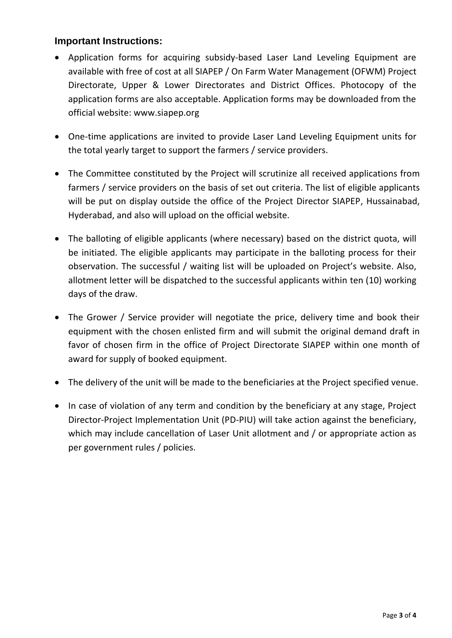## **Important Instructions:**

- Application forms for acquiring subsidy-based Laser Land Leveling Equipment are available with free of cost at all SIAPEP / On Farm Water Management (OFWM) Project Directorate, Upper & Lower Directorates and District Offices. Photocopy of the application forms are also acceptable. Application forms may be downloaded from the official website: www.siapep.org
- One-time applications are invited to provide Laser Land Leveling Equipment units for the total yearly target to support the farmers / service providers.
- The Committee constituted by the Project will scrutinize all received applications from farmers / service providers on the basis of set out criteria. The list of eligible applicants will be put on display outside the office of the Project Director SIAPEP, Hussainabad, Hyderabad, and also will upload on the official website.
- The balloting of eligible applicants (where necessary) based on the district quota, will be initiated. The eligible applicants may participate in the balloting process for their observation. The successful / waiting list will be uploaded on Project's website. Also, allotment letter will be dispatched to the successful applicants within ten (10) working days of the draw.
- The Grower / Service provider will negotiate the price, delivery time and book their equipment with the chosen enlisted firm and will submit the original demand draft in favor of chosen firm in the office of Project Directorate SIAPEP within one month of award for supply of booked equipment.
- The delivery of the unit will be made to the beneficiaries at the Project specified venue.
- In case of violation of any term and condition by the beneficiary at any stage, Project Director-Project Implementation Unit (PD-PIU) will take action against the beneficiary, which may include cancellation of Laser Unit allotment and / or appropriate action as per government rules / policies.